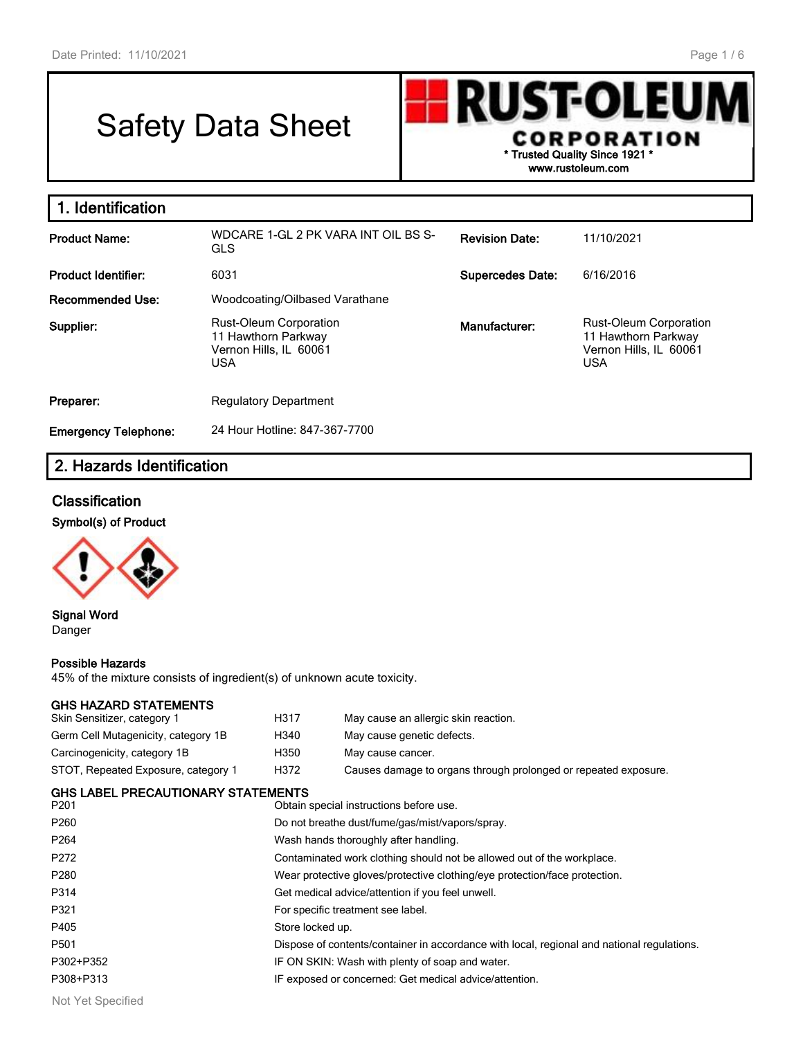# Safety Data Sheet



| 1. Identification           |                                                                                              |                         |                                                                                       |
|-----------------------------|----------------------------------------------------------------------------------------------|-------------------------|---------------------------------------------------------------------------------------|
| <b>Product Name:</b>        | WDCARE 1-GL 2 PK VARA INT OIL BS S-<br><b>GLS</b>                                            | <b>Revision Date:</b>   | 11/10/2021                                                                            |
| <b>Product Identifier:</b>  | 6031                                                                                         | <b>Supercedes Date:</b> | 6/16/2016                                                                             |
| <b>Recommended Use:</b>     | Woodcoating/Oilbased Varathane                                                               |                         |                                                                                       |
| Supplier:                   | <b>Rust-Oleum Corporation</b><br>11 Hawthorn Parkway<br>Vernon Hills, IL 60061<br><b>USA</b> | Manufacturer:           | <b>Rust-Oleum Corporation</b><br>11 Hawthorn Parkway<br>Vernon Hills, IL 60061<br>USA |
| Preparer:                   | <b>Regulatory Department</b>                                                                 |                         |                                                                                       |
| <b>Emergency Telephone:</b> | 24 Hour Hotline: 847-367-7700                                                                |                         |                                                                                       |

# **2. Hazards Identification**

#### **Classification**





**Signal Word** Danger

#### **Possible Hazards**

45% of the mixture consists of ingredient(s) of unknown acute toxicity.

#### **GHS HAZARD STATEMENTS**

| Skin Sensitizer, category 1               | H317 | May cause an allergic skin reaction.                            |  |  |  |
|-------------------------------------------|------|-----------------------------------------------------------------|--|--|--|
| Germ Cell Mutagenicity, category 1B       | H340 | May cause genetic defects.                                      |  |  |  |
| Carcinogenicity, category 1B              | H350 | May cause cancer.                                               |  |  |  |
| STOT, Repeated Exposure, category 1       | H372 | Causes damage to organs through prolonged or repeated exposure. |  |  |  |
| <b>GHS LABEL PRECAUTIONARY STATEMENTS</b> |      |                                                                 |  |  |  |
| DO01                                      |      | $O$ btoin annoial inatrustiana hafara uga                       |  |  |  |

| P <sub>201</sub> | Obtain special instructions before use.                                                    |
|------------------|--------------------------------------------------------------------------------------------|
| P <sub>260</sub> | Do not breathe dust/fume/gas/mist/vapors/spray.                                            |
| P <sub>264</sub> | Wash hands thoroughly after handling.                                                      |
| P272             | Contaminated work clothing should not be allowed out of the workplace.                     |
| P280             | Wear protective gloves/protective clothing/eye protection/face protection.                 |
| P314             | Get medical advice/attention if you feel unwell.                                           |
| P321             | For specific treatment see label.                                                          |
| P405             | Store locked up.                                                                           |
| P <sub>501</sub> | Dispose of contents/container in accordance with local, regional and national regulations. |
| P302+P352        | IF ON SKIN: Wash with plenty of soap and water.                                            |
| P308+P313        | IF exposed or concerned: Get medical advice/attention.                                     |
|                  |                                                                                            |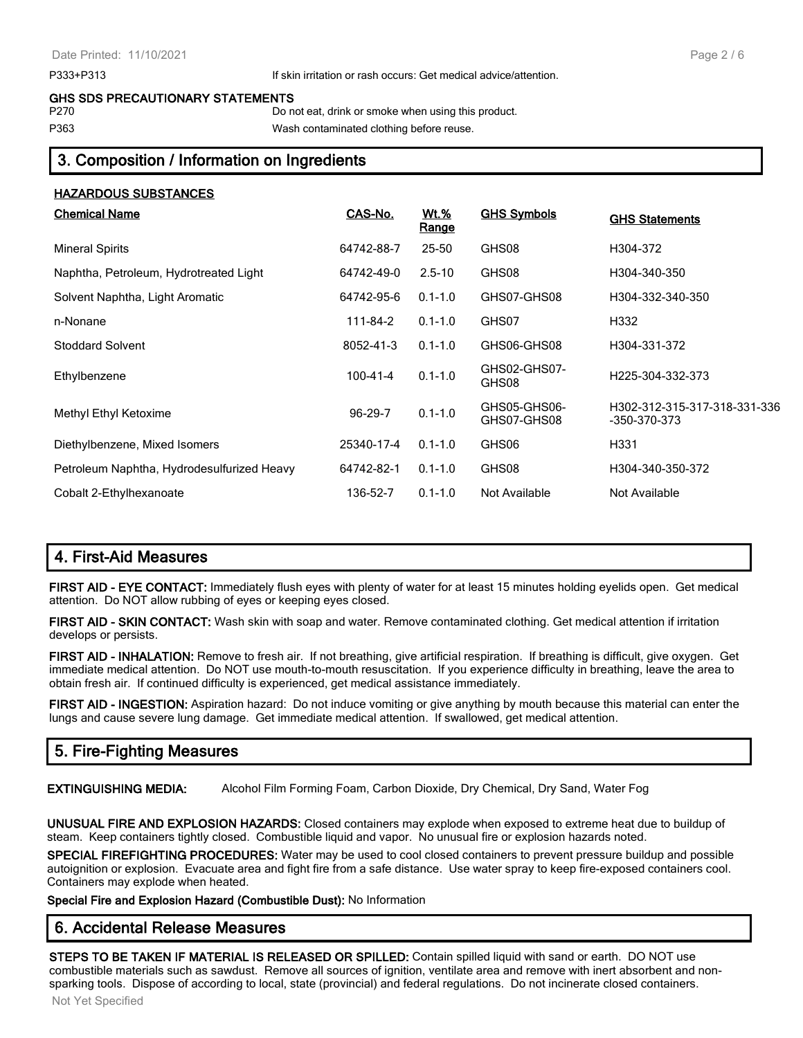#### P333+P313 If skin irritation or rash occurs: Get medical advice/attention.

#### **GHS SDS PRECAUTIONARY STATEMENTS**

P270 Do not eat, drink or smoke when using this product.

P363 Wash contaminated clothing before reuse.

# **3. Composition / Information on Ingredients**

| <b>HAZARDOUS SUBSTANCES</b>                |               |                             |                             |                                              |
|--------------------------------------------|---------------|-----------------------------|-----------------------------|----------------------------------------------|
| <b>Chemical Name</b>                       | CAS-No.       | <u>Wt.%</u><br><u>Range</u> | <b>GHS Symbols</b>          | <b>GHS Statements</b>                        |
| <b>Mineral Spirits</b>                     | 64742-88-7    | 25-50                       | GHS08                       | H304-372                                     |
| Naphtha, Petroleum, Hydrotreated Light     | 64742-49-0    | $2.5 - 10$                  | GHS08                       | H304-340-350                                 |
| Solvent Naphtha, Light Aromatic            | 64742-95-6    | $0.1 - 1.0$                 | GHS07-GHS08                 | H304-332-340-350                             |
| n-Nonane                                   | 111-84-2      | $0.1 - 1.0$                 | GHS07                       | H332                                         |
| <b>Stoddard Solvent</b>                    | 8052-41-3     | $0.1 - 1.0$                 | GHS06-GHS08                 | H304-331-372                                 |
| Ethylbenzene                               | 100-41-4      | $0.1 - 1.0$                 | GHS02-GHS07-<br>GHS08       | H225-304-332-373                             |
| Methyl Ethyl Ketoxime                      | $96 - 29 - 7$ | $0.1 - 1.0$                 | GHS05-GHS06-<br>GHS07-GHS08 | H302-312-315-317-318-331-336<br>-350-370-373 |
| Diethylbenzene, Mixed Isomers              | 25340-17-4    | $0.1 - 1.0$                 | GHS06                       | H331                                         |
| Petroleum Naphtha, Hydrodesulfurized Heavy | 64742-82-1    | $0.1 - 1.0$                 | GHS08                       | H304-340-350-372                             |
| Cobalt 2-Ethylhexanoate                    | 136-52-7      | $0.1 - 1.0$                 | Not Available               | Not Available                                |

# **4. First-Aid Measures**

**FIRST AID - EYE CONTACT:** Immediately flush eyes with plenty of water for at least 15 minutes holding eyelids open. Get medical attention. Do NOT allow rubbing of eyes or keeping eyes closed.

**FIRST AID - SKIN CONTACT:** Wash skin with soap and water. Remove contaminated clothing. Get medical attention if irritation develops or persists.

**FIRST AID - INHALATION:** Remove to fresh air. If not breathing, give artificial respiration. If breathing is difficult, give oxygen. Get immediate medical attention. Do NOT use mouth-to-mouth resuscitation. If you experience difficulty in breathing, leave the area to obtain fresh air. If continued difficulty is experienced, get medical assistance immediately.

**FIRST AID - INGESTION:** Aspiration hazard: Do not induce vomiting or give anything by mouth because this material can enter the lungs and cause severe lung damage. Get immediate medical attention. If swallowed, get medical attention.

# **5. Fire-Fighting Measures**

**EXTINGUISHING MEDIA:** Alcohol Film Forming Foam, Carbon Dioxide, Dry Chemical, Dry Sand, Water Fog

**UNUSUAL FIRE AND EXPLOSION HAZARDS:** Closed containers may explode when exposed to extreme heat due to buildup of steam. Keep containers tightly closed. Combustible liquid and vapor. No unusual fire or explosion hazards noted.

**SPECIAL FIREFIGHTING PROCEDURES:** Water may be used to cool closed containers to prevent pressure buildup and possible autoignition or explosion. Evacuate area and fight fire from a safe distance. Use water spray to keep fire-exposed containers cool. Containers may explode when heated.

**Special Fire and Explosion Hazard (Combustible Dust):** No Information

# **6. Accidental Release Measures**

**STEPS TO BE TAKEN IF MATERIAL IS RELEASED OR SPILLED:** Contain spilled liquid with sand or earth. DO NOT use combustible materials such as sawdust. Remove all sources of ignition, ventilate area and remove with inert absorbent and nonsparking tools. Dispose of according to local, state (provincial) and federal regulations. Do not incinerate closed containers.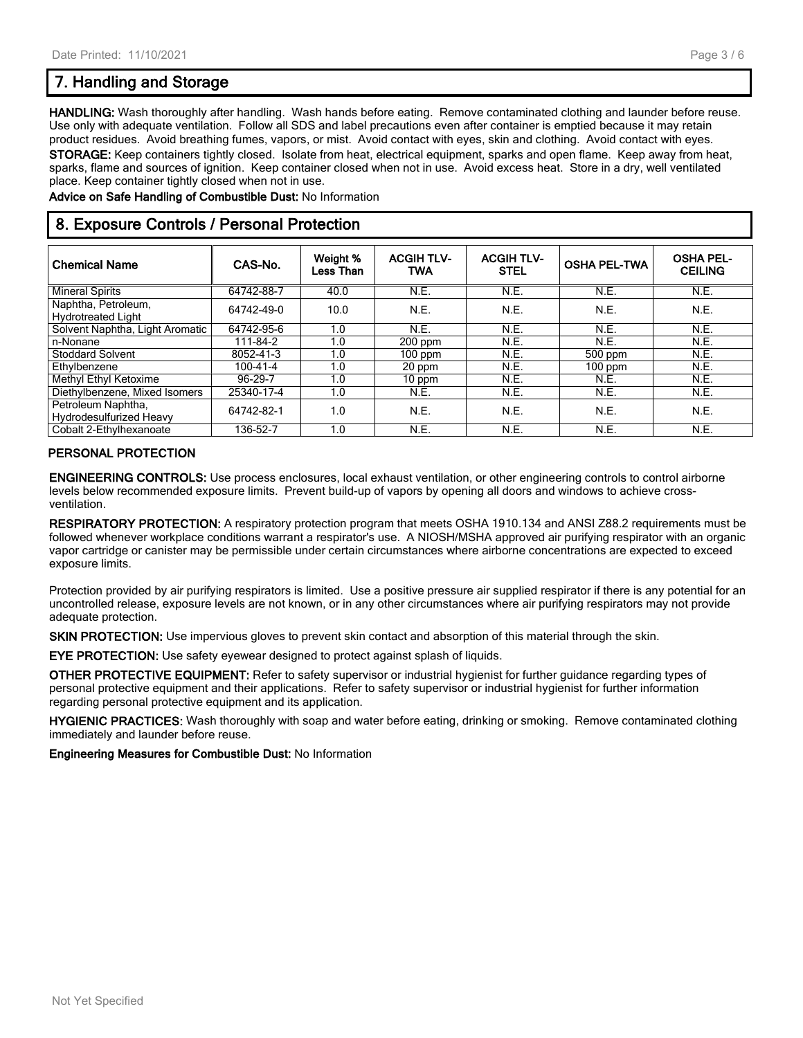# **7. Handling and Storage**

**HANDLING:** Wash thoroughly after handling. Wash hands before eating. Remove contaminated clothing and launder before reuse. Use only with adequate ventilation. Follow all SDS and label precautions even after container is emptied because it may retain product residues. Avoid breathing fumes, vapors, or mist. Avoid contact with eyes, skin and clothing. Avoid contact with eyes. **STORAGE:** Keep containers tightly closed. Isolate from heat, electrical equipment, sparks and open flame. Keep away from heat, sparks, flame and sources of ignition. Keep container closed when not in use. Avoid excess heat. Store in a dry, well ventilated place. Keep container tightly closed when not in use.

**Advice on Safe Handling of Combustible Dust:** No Information

#### **8. Exposure Controls / Personal Protection**

| <b>Chemical Name</b>                             | CAS-No.        | Weight %<br>Less Than | <b>ACGIH TLV-</b><br><b>TWA</b> | <b>ACGIH TLV-</b><br><b>STEL</b> | <b>OSHA PEL-TWA</b> | <b>OSHA PEL-</b><br><b>CEILING</b> |
|--------------------------------------------------|----------------|-----------------------|---------------------------------|----------------------------------|---------------------|------------------------------------|
| <b>Mineral Spirits</b>                           | 64742-88-7     | 40.0                  | N.E.                            | N.E.                             | N.E.                | N.E.                               |
| Naphtha, Petroleum,<br><b>Hydrotreated Light</b> | 64742-49-0     | 10.0                  | N.E.                            | N.E.                             | N.E.                | N.E.                               |
| Solvent Naphtha, Light Aromatic                  | 64742-95-6     | 1.0                   | N.E.                            | N.E.                             | N.E.                | N.E.                               |
| n-Nonane                                         | 111-84-2       | 1.0                   | $200$ ppm                       | N.E.                             | N.E.                | N.E.                               |
| <b>Stoddard Solvent</b>                          | 8052-41-3      | 1.0                   | $100$ ppm                       | N.E.                             | 500 ppm             | N.E.                               |
| Ethylbenzene                                     | $100 - 41 - 4$ | 1.0                   | 20 ppm                          | N.E.                             | $100$ ppm           | N.E.                               |
| Methyl Ethyl Ketoxime                            | 96-29-7        | 1.0                   | 10 ppm                          | N.E.                             | N.E.                | N.E.                               |
| Diethylbenzene, Mixed Isomers                    | 25340-17-4     | 1.0                   | N.E.                            | N.E.                             | N.E.                | N.E.                               |
| Petroleum Naphtha,<br>Hydrodesulfurized Heavy    | 64742-82-1     | 1.0                   | N.E.                            | N.E.                             | N.E.                | N.E.                               |
| Cobalt 2-Ethylhexanoate                          | 136-52-7       | 1.0                   | N.E.                            | N.E.                             | N.E.                | N.E.                               |

#### **PERSONAL PROTECTION**

**ENGINEERING CONTROLS:** Use process enclosures, local exhaust ventilation, or other engineering controls to control airborne levels below recommended exposure limits. Prevent build-up of vapors by opening all doors and windows to achieve crossventilation.

**RESPIRATORY PROTECTION:** A respiratory protection program that meets OSHA 1910.134 and ANSI Z88.2 requirements must be followed whenever workplace conditions warrant a respirator's use. A NIOSH/MSHA approved air purifying respirator with an organic vapor cartridge or canister may be permissible under certain circumstances where airborne concentrations are expected to exceed exposure limits.

Protection provided by air purifying respirators is limited. Use a positive pressure air supplied respirator if there is any potential for an uncontrolled release, exposure levels are not known, or in any other circumstances where air purifying respirators may not provide adequate protection.

**SKIN PROTECTION:** Use impervious gloves to prevent skin contact and absorption of this material through the skin.

**EYE PROTECTION:** Use safety eyewear designed to protect against splash of liquids.

**OTHER PROTECTIVE EQUIPMENT:** Refer to safety supervisor or industrial hygienist for further guidance regarding types of personal protective equipment and their applications. Refer to safety supervisor or industrial hygienist for further information regarding personal protective equipment and its application.

**HYGIENIC PRACTICES:** Wash thoroughly with soap and water before eating, drinking or smoking. Remove contaminated clothing immediately and launder before reuse.

**Engineering Measures for Combustible Dust:** No Information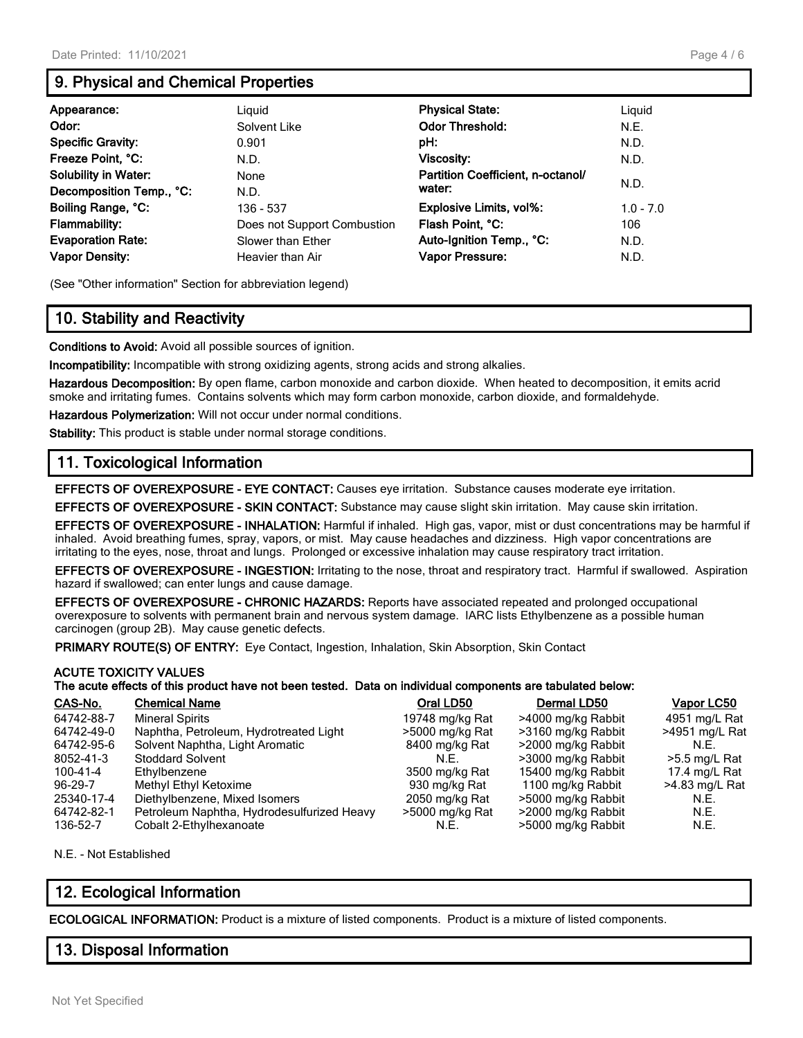# **9. Physical and Chemical Properties**

| Appearance:                 | Liguid                      | <b>Physical State:</b>            | Liguid      |
|-----------------------------|-----------------------------|-----------------------------------|-------------|
| Odor:                       | Solvent Like                | <b>Odor Threshold:</b>            | N.E.        |
| <b>Specific Gravity:</b>    | 0.901                       | pH:                               | N.D.        |
| Freeze Point, °C:           | N.D.                        | Viscosity:                        | N.D.        |
| <b>Solubility in Water:</b> | None                        | Partition Coefficient, n-octanol/ |             |
| Decomposition Temp., °C:    | N.D.                        | water:                            | N.D.        |
| Boiling Range, °C:          | 136 - 537                   | Explosive Limits, vol%:           | $1.0 - 7.0$ |
| Flammability:               | Does not Support Combustion | Flash Point, °C:                  | 106         |
| <b>Evaporation Rate:</b>    | Slower than Ether           | Auto-Ignition Temp., °C:          | N.D.        |
| <b>Vapor Density:</b>       | Heavier than Air            | Vapor Pressure:                   | N.D.        |

(See "Other information" Section for abbreviation legend)

# **10. Stability and Reactivity**

**Conditions to Avoid:** Avoid all possible sources of ignition.

**Incompatibility:** Incompatible with strong oxidizing agents, strong acids and strong alkalies.

**Hazardous Decomposition:** By open flame, carbon monoxide and carbon dioxide. When heated to decomposition, it emits acrid smoke and irritating fumes. Contains solvents which may form carbon monoxide, carbon dioxide, and formaldehyde.

**Hazardous Polymerization:** Will not occur under normal conditions.

**Stability:** This product is stable under normal storage conditions.

#### **11. Toxicological Information**

**EFFECTS OF OVEREXPOSURE - EYE CONTACT:** Causes eye irritation. Substance causes moderate eye irritation.

**EFFECTS OF OVEREXPOSURE - SKIN CONTACT:** Substance may cause slight skin irritation. May cause skin irritation.

**EFFECTS OF OVEREXPOSURE - INHALATION:** Harmful if inhaled. High gas, vapor, mist or dust concentrations may be harmful if inhaled. Avoid breathing fumes, spray, vapors, or mist. May cause headaches and dizziness. High vapor concentrations are irritating to the eyes, nose, throat and lungs. Prolonged or excessive inhalation may cause respiratory tract irritation.

**EFFECTS OF OVEREXPOSURE - INGESTION:** Irritating to the nose, throat and respiratory tract. Harmful if swallowed. Aspiration hazard if swallowed; can enter lungs and cause damage.

**EFFECTS OF OVEREXPOSURE - CHRONIC HAZARDS:** Reports have associated repeated and prolonged occupational overexposure to solvents with permanent brain and nervous system damage. IARC lists Ethylbenzene as a possible human carcinogen (group 2B). May cause genetic defects.

**PRIMARY ROUTE(S) OF ENTRY:** Eye Contact, Ingestion, Inhalation, Skin Absorption, Skin Contact

#### **ACUTE TOXICITY VALUES**

#### **The acute effects of this product have not been tested. Data on individual components are tabulated below:**

| CAS-No.    | <b>Chemical Name</b>                       | Oral LD50       | Dermal LD50        | Vapor LC50      |
|------------|--------------------------------------------|-----------------|--------------------|-----------------|
| 64742-88-7 | <b>Mineral Spirits</b>                     | 19748 mg/kg Rat | >4000 mg/kg Rabbit | 4951 mg/L Rat   |
| 64742-49-0 | Naphtha, Petroleum, Hydrotreated Light     | >5000 mg/kg Rat | >3160 mg/kg Rabbit | >4951 mg/L Rat  |
| 64742-95-6 | Solvent Naphtha, Light Aromatic            | 8400 mg/kg Rat  | >2000 mg/kg Rabbit | N.E.            |
| 8052-41-3  | <b>Stoddard Solvent</b>                    | N.E.            | >3000 mg/kg Rabbit | $>5.5$ mg/L Rat |
| 100-41-4   | Ethylbenzene                               | 3500 mg/kg Rat  | 15400 mg/kg Rabbit | 17.4 mg/L Rat   |
| 96-29-7    | Methyl Ethyl Ketoxime                      | 930 mg/kg Rat   | 1100 mg/kg Rabbit  | >4.83 mg/L Rat  |
| 25340-17-4 | Diethylbenzene, Mixed Isomers              | 2050 mg/kg Rat  | >5000 mg/kg Rabbit | N.E.            |
| 64742-82-1 | Petroleum Naphtha, Hydrodesulfurized Heavy | >5000 mg/kg Rat | >2000 mg/kg Rabbit | N.E.            |
| 136-52-7   | Cobalt 2-Ethylhexanoate                    | N.E.            | >5000 mg/kg Rabbit | N.E.            |

N.E. - Not Established

# **12. Ecological Information**

**ECOLOGICAL INFORMATION:** Product is a mixture of listed components. Product is a mixture of listed components.

#### **13. Disposal Information**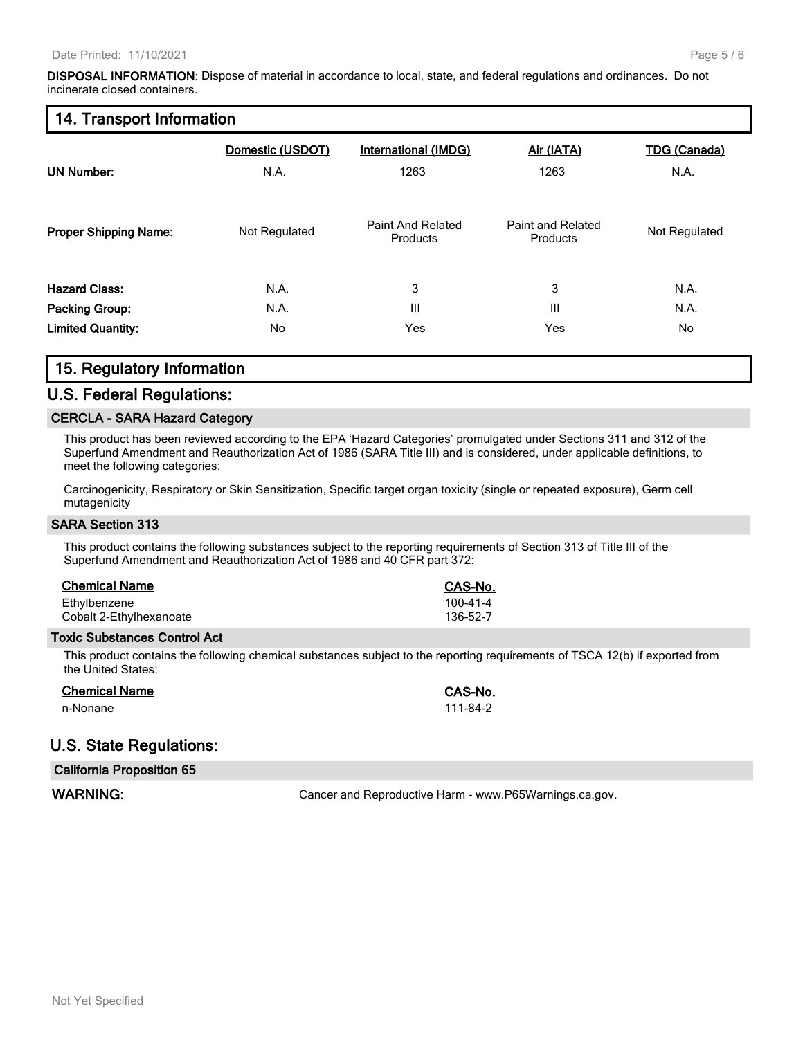**DISPOSAL INFORMATION:** Dispose of material in accordance to local, state, and federal regulations and ordinances. Do not incinerate closed containers.

#### **14. Transport Information**

| <b>UN Number:</b>            | Domestic (USDOT)<br>N.A. | International (IMDG)<br>1263  | Air (IATA)<br>1263            | <b>TDG (Canada)</b><br>N.A. |
|------------------------------|--------------------------|-------------------------------|-------------------------------|-----------------------------|
| <b>Proper Shipping Name:</b> | Not Regulated            | Paint And Related<br>Products | Paint and Related<br>Products | Not Regulated               |
| <b>Hazard Class:</b>         | N.A.                     | 3                             | 3                             | N.A.                        |
| <b>Packing Group:</b>        | N.A.                     | III                           | III                           | N.A.                        |
| <b>Limited Quantity:</b>     | No                       | Yes                           | Yes                           | No                          |

# **15. Regulatory Information**

#### **U.S. Federal Regulations:**

#### **CERCLA - SARA Hazard Category**

This product has been reviewed according to the EPA 'Hazard Categories' promulgated under Sections 311 and 312 of the Superfund Amendment and Reauthorization Act of 1986 (SARA Title III) and is considered, under applicable definitions, to meet the following categories:

Carcinogenicity, Respiratory or Skin Sensitization, Specific target organ toxicity (single or repeated exposure), Germ cell mutagenicity

#### **SARA Section 313**

This product contains the following substances subject to the reporting requirements of Section 313 of Title III of the Superfund Amendment and Reauthorization Act of 1986 and 40 CFR part 372:

| <b>Chemical Name</b>                    | CAS-No.              |
|-----------------------------------------|----------------------|
| Ethylbenzene<br>Cobalt 2-Ethylhexanoate | 100-41-4<br>136-52-7 |
|                                         |                      |

#### **Toxic Substances Control Act**

This product contains the following chemical substances subject to the reporting requirements of TSCA 12(b) if exported from the United States:

#### **Chemical Name CAS-No.**

n-Nonane 111-84-2

# **U.S. State Regulations:**

| <b>California Proposition 65</b> |                                                        |
|----------------------------------|--------------------------------------------------------|
| <b>WARNING:</b>                  | Cancer and Reproductive Harm - www.P65Warnings.ca.gov. |